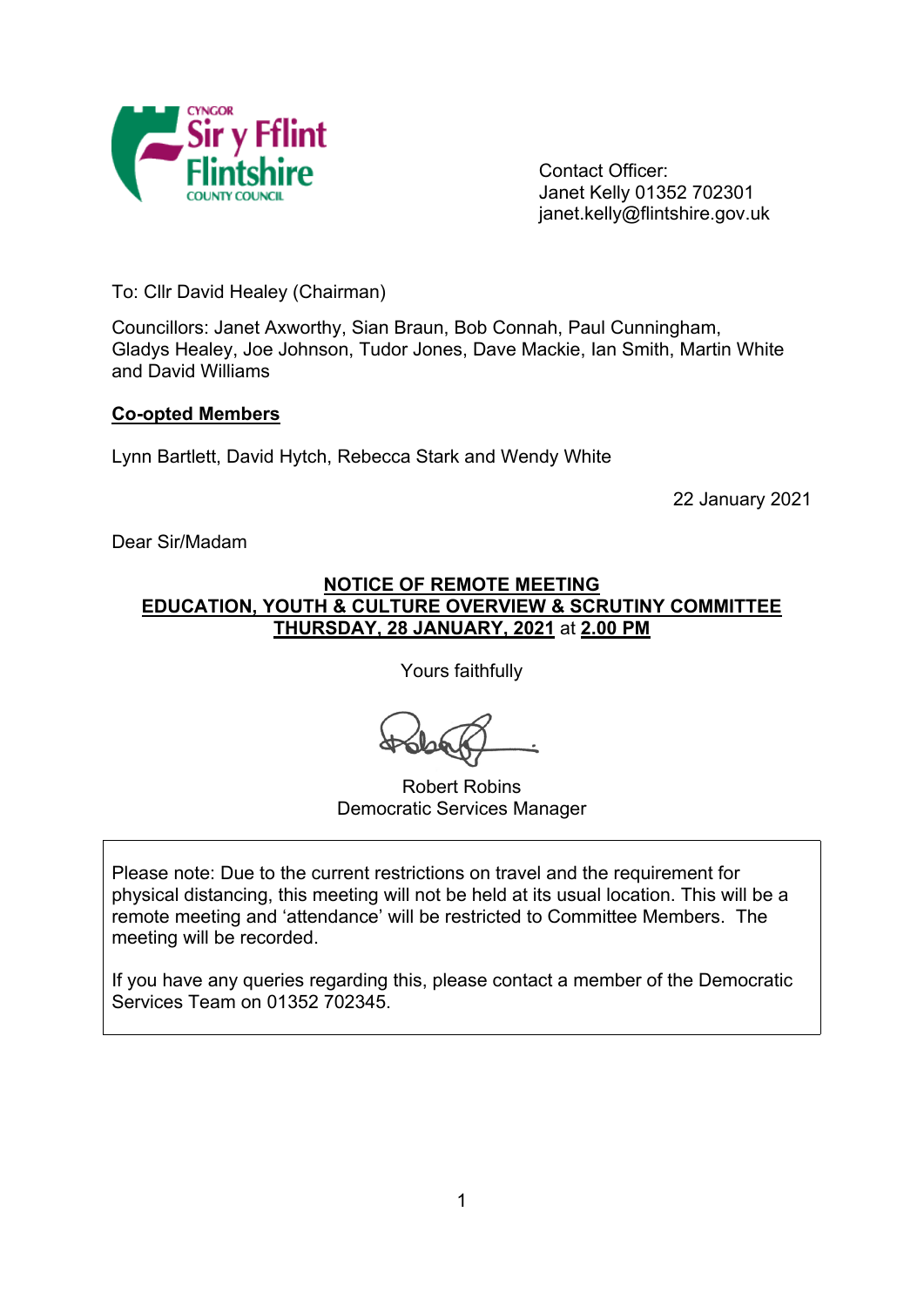

Contact Officer: Janet Kelly 01352 702301 janet.kelly@flintshire.gov.uk

To: Cllr David Healey (Chairman)

Councillors: Janet Axworthy, Sian Braun, Bob Connah, Paul Cunningham, Gladys Healey, Joe Johnson, Tudor Jones, Dave Mackie, Ian Smith, Martin White and David Williams

## **Co-opted Members**

Lynn Bartlett, David Hytch, Rebecca Stark and Wendy White

22 January 2021

Dear Sir/Madam

#### **NOTICE OF REMOTE MEETING EDUCATION, YOUTH & CULTURE OVERVIEW & SCRUTINY COMMITTEE THURSDAY, 28 JANUARY, 2021** at **2.00 PM**

Yours faithfully

Robert Robins Democratic Services Manager

Please note: Due to the current restrictions on travel and the requirement for physical distancing, this meeting will not be held at its usual location. This will be a remote meeting and 'attendance' will be restricted to Committee Members. The meeting will be recorded.

If you have any queries regarding this, please contact a member of the Democratic Services Team on 01352 702345.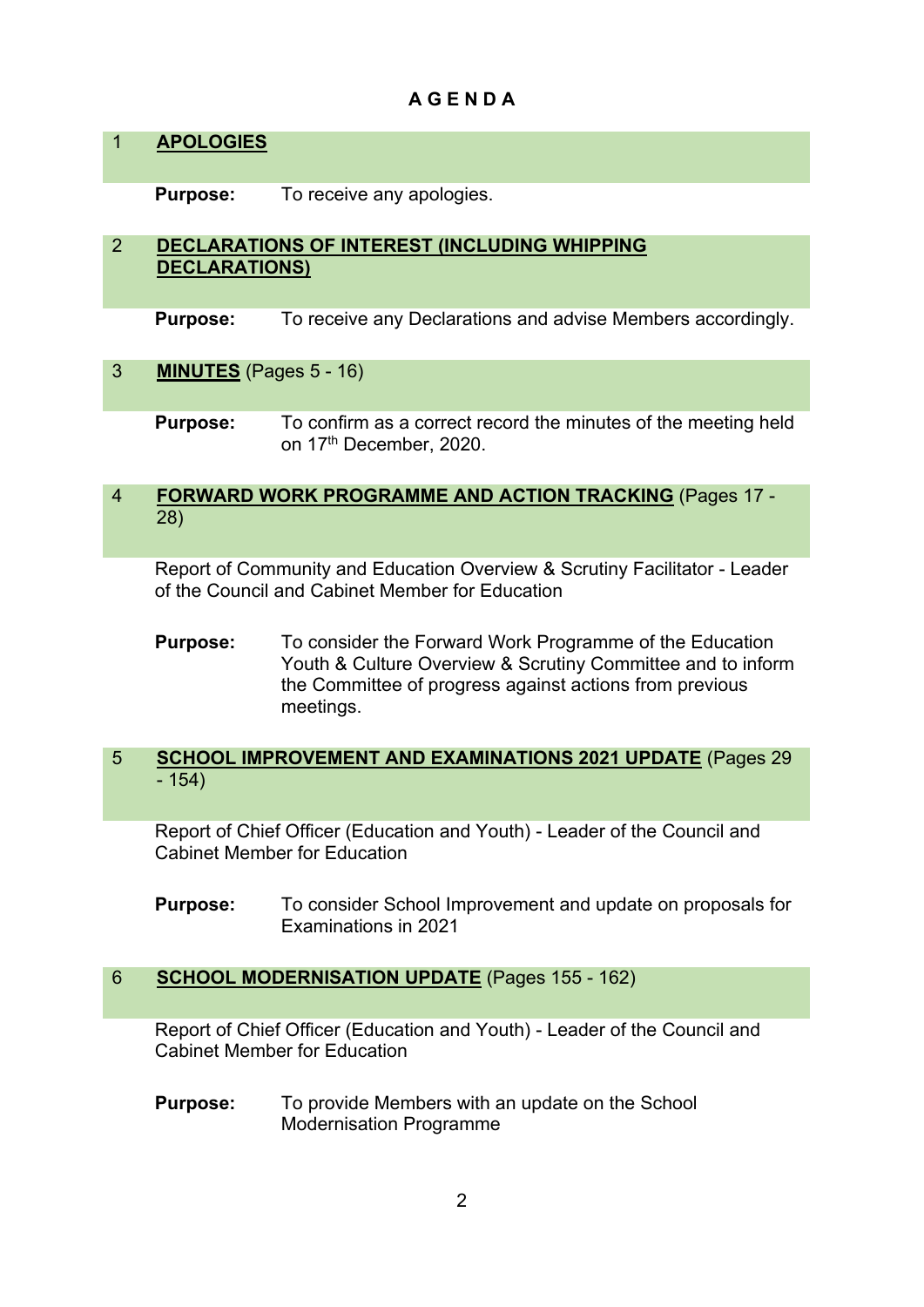# **A G E N D A**

## 1 **APOLOGIES**

**Purpose:** To receive any apologies.

## 2 **DECLARATIONS OF INTEREST (INCLUDING WHIPPING DECLARATIONS)**

**Purpose:** To receive any Declarations and advise Members accordingly.

## 3 **MINUTES** (Pages 5 - 16)

**Purpose:** To confirm as a correct record the minutes of the meeting held on 17<sup>th</sup> December, 2020.

#### 4 **FORWARD WORK PROGRAMME AND ACTION TRACKING** (Pages 17 - 28)

Report of Community and Education Overview & Scrutiny Facilitator - Leader of the Council and Cabinet Member for Education

**Purpose:** To consider the Forward Work Programme of the Education Youth & Culture Overview & Scrutiny Committee and to inform the Committee of progress against actions from previous meetings.

## 5 **SCHOOL IMPROVEMENT AND EXAMINATIONS 2021 UPDATE** (Pages 29 - 154)

Report of Chief Officer (Education and Youth) - Leader of the Council and Cabinet Member for Education

**Purpose:** To consider School Improvement and update on proposals for Examinations in 2021

## 6 **SCHOOL MODERNISATION UPDATE** (Pages 155 - 162)

Report of Chief Officer (Education and Youth) - Leader of the Council and Cabinet Member for Education

**Purpose:** To provide Members with an update on the School Modernisation Programme